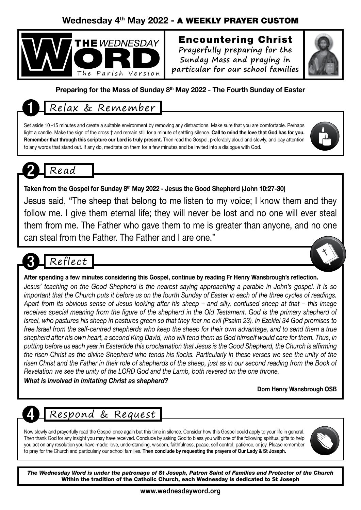### Wednesday 4th May 2022 - A WEEKLY PRAYER CUSTOM



### Encountering Christ **Prayerfully preparing for the**

**Sunday Mass and praying in particular for our school families**



### Preparing for the Mass of Sunday 8<sup>th</sup> May 2022 - The Fourth Sunday of Easter

## 1 Relax & Remember

Set aside 10 -15 minutes and create a suitable environment by removing any distractions. Make sure that you are comfortable. Perhaps light a candle. Make the sign of the cross † and remain still for a minute of settling silence. Call to mind the love that God has for you. Remember that through this scripture our Lord is truly present. Then read the Gospel, preferably aloud and slowly, and pay attention to any words that stand out. If any do, meditate on them for a few minutes and be invited into a dialogue with God.



Taken from the Gospel for Sunday  $8<sup>th</sup>$  May 2022 - Jesus the Good Shepherd (John 10:27-30)

Jesus said, "The sheep that belong to me listen to my voice; I know them and they follow me. I give them eternal life; they will never be lost and no one will ever steal them from me. The Father who gave them to me is greater than anyone, and no one can steal from the Father. The Father and I are one."





### After spending a few minutes considering this Gospel, continue by reading Fr Henry Wansbrough's reflection.

*Jesus' teaching on the Good Shepherd is the nearest saying approaching a parable in John's gospel. It is so important that the Church puts it before us on the fourth Sunday of Easter in each of the three cycles of readings. Apart from its obvious sense of Jesus looking after his sheep – and silly, confused sheep at that – this image*  receives special meaning from the figure of the shepherd in the Old Testament. God is the primary shepherd of *Israel, who pastures his sheep in pastures green so that they fear no evil (Psalm 23). In Ezekiel 34 God promises to free Israel from the self-centred shepherds who keep the sheep for their own advantage, and to send them a true shepherd after his own heart, a second King David, who will tend them as God himself would care for them. Thus, in putting before us each year in Eastertide this proclamation that Jesus is the Good Shepherd, the Church is affirming the risen Christ as the divine Shepherd who tends his flocks. Particularly in these verses we see the unity of the risen Christ and the Father in their role of shepherds of the sheep, just as in our second reading from the Book of Revelation we see the unity of the LORD God and the Lamb, both revered on the one throne.*

*What is involved in imitating Christ as shepherd?*

Dom Henry Wansbrough OSB

# 4 Respond & Request

Now slowly and prayerfully read the Gospel once again but this time in silence. Consider how this Gospel could apply to your life in general. Then thank God for any insight you may have received. Conclude by asking God to bless you with one of the following spiritual gifts to help you act on any resolution you have made: love, understanding, wisdom, faithfulness, peace, self control, patience, or joy. Please remember to pray for the Church and particularly our school families. Then conclude by requesting the prayers of Our Lady & St Joseph.



*The Wednesday Word is under the patronage of St Joseph, Patron Saint of Families and Protector of the Church* Within the tradition of the Catholic Church, each Wednesday is dedicated to St Joseph